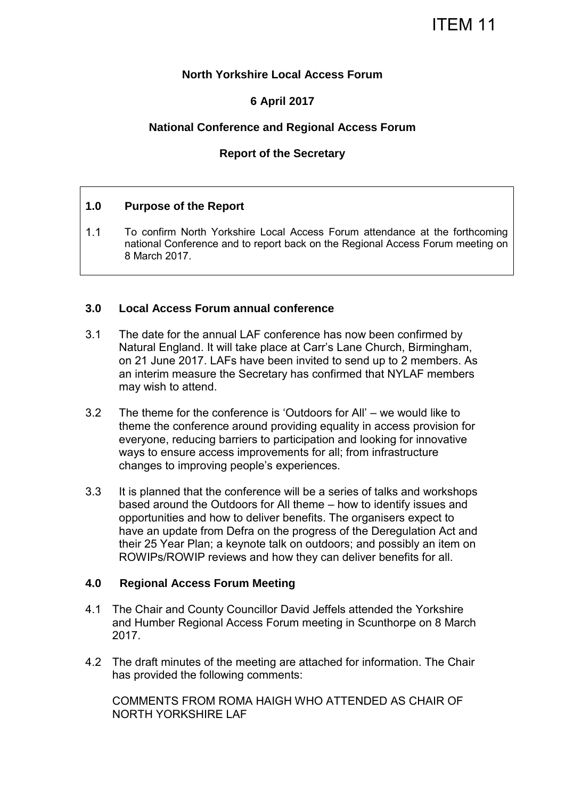## **North Yorkshire Local Access Forum**

# **6 April 2017**

## **National Conference and Regional Access Forum**

## **Report of the Secretary**

## **1.0 Purpose of the Report**

1.1 To confirm North Yorkshire Local Access Forum attendance at the forthcoming national Conference and to report back on the Regional Access Forum meeting on 8 March 2017.

### **3.0 Local Access Forum annual conference**

- 3.1 The date for the annual LAF conference has now been confirmed by Natural England. It will take place at Carr's Lane Church, Birmingham, on 21 June 2017. LAFs have been invited to send up to 2 members. As an interim measure the Secretary has confirmed that NYLAF members may wish to attend.
- 3.2 The theme for the conference is 'Outdoors for All' we would like to theme the conference around providing equality in access provision for everyone, reducing barriers to participation and looking for innovative ways to ensure access improvements for all; from infrastructure changes to improving people's experiences.
- 3.3 It is planned that the conference will be a series of talks and workshops based around the Outdoors for All theme – how to identify issues and opportunities and how to deliver benefits. The organisers expect to have an update from Defra on the progress of the Deregulation Act and their 25 Year Plan; a keynote talk on outdoors; and possibly an item on ROWIPs/ROWIP reviews and how they can deliver benefits for all.

#### **4.0 Regional Access Forum Meeting**

- 4.1 The Chair and County Councillor David Jeffels attended the Yorkshire and Humber Regional Access Forum meeting in Scunthorpe on 8 March 2017.
- 4.2 The draft minutes of the meeting are attached for information. The Chair has provided the following comments:

COMMENTS FROM ROMA HAIGH WHO ATTENDED AS CHAIR OF NORTH YORKSHIRE LAF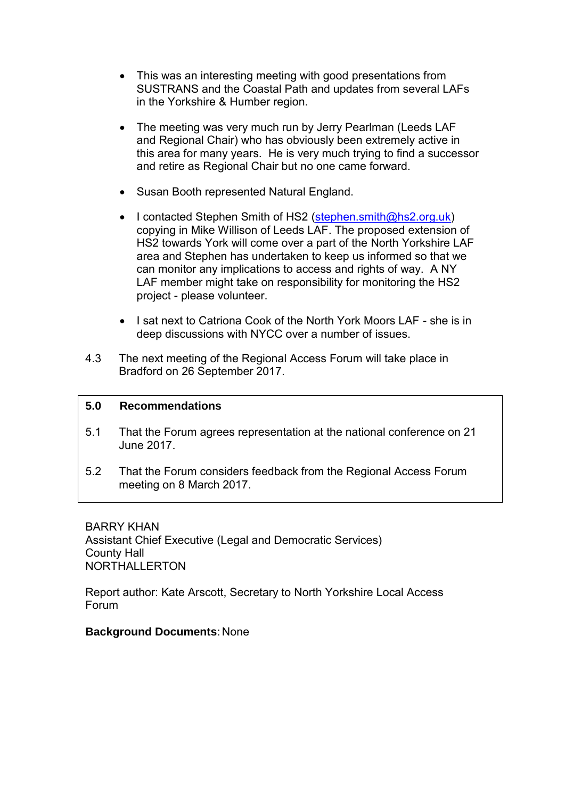- This was an interesting meeting with good presentations from SUSTRANS and the Coastal Path and updates from several LAFs in the Yorkshire & Humber region.
- The meeting was very much run by Jerry Pearlman (Leeds LAF and Regional Chair) who has obviously been extremely active in this area for many years. He is very much trying to find a successor and retire as Regional Chair but no one came forward.
- Susan Booth represented Natural England.
- I contacted Stephen Smith of HS2 [\(stephen.smith@hs2.org.uk\)](mailto:stephen.smith@hs2.org.uk) copying in Mike Willison of Leeds LAF. The proposed extension of HS2 towards York will come over a part of the North Yorkshire LAF area and Stephen has undertaken to keep us informed so that we can monitor any implications to access and rights of way. A NY LAF member might take on responsibility for monitoring the HS2 project - please volunteer.
- I sat next to Catriona Cook of the North York Moors LAF she is in deep discussions with NYCC over a number of issues.
- 4.3 The next meeting of the Regional Access Forum will take place in Bradford on 26 September 2017.

## **5.0 Recommendations**

- 5.1 That the Forum agrees representation at the national conference on 21 June 2017.
- 5.2 That the Forum considers feedback from the Regional Access Forum meeting on 8 March 2017.

BARRY KHAN Assistant Chief Executive (Legal and Democratic Services) County Hall NORTHALLERTON

Report author: Kate Arscott, Secretary to North Yorkshire Local Access Forum

**Background Documents**: None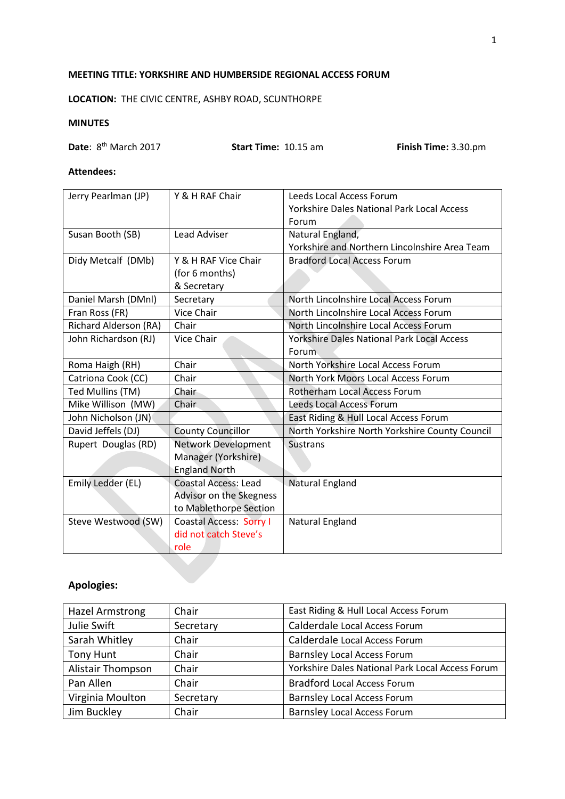#### **MEETING TITLE: YORKSHIRE AND HUMBERSIDE REGIONAL ACCESS FORUM**

**LOCATION:** THE CIVIC CENTRE, ASHBY ROAD, SCUNTHORPE

#### **MINUTES**

**Date**: 8<sup>th</sup> March 2017 **Start Time:** 10.15 am **Finish Time:** 3.30.pm

#### **Attendees:**

| Jerry Pearlman (JP)          | Y & H RAF Chair                | Leeds Local Access Forum                          |
|------------------------------|--------------------------------|---------------------------------------------------|
|                              |                                | <b>Yorkshire Dales National Park Local Access</b> |
|                              |                                | Forum                                             |
| Susan Booth (SB)             | <b>Lead Adviser</b>            | Natural England,                                  |
|                              |                                | Yorkshire and Northern Lincolnshire Area Team     |
| Didy Metcalf (DMb)           | Y & H RAF Vice Chair           | <b>Bradford Local Access Forum</b>                |
|                              | (for 6 months)                 |                                                   |
|                              | & Secretary                    |                                                   |
| Daniel Marsh (DMnl)          | Secretary                      | North Lincolnshire Local Access Forum             |
| Fran Ross (FR)               | Vice Chair                     | North Lincolnshire Local Access Forum             |
| <b>Richard Alderson (RA)</b> | Chair                          | North Lincolnshire Local Access Forum             |
| John Richardson (RJ)         | Vice Chair                     | <b>Yorkshire Dales National Park Local Access</b> |
|                              |                                | Forum                                             |
| Roma Haigh (RH)              | Chair                          | North Yorkshire Local Access Forum                |
| Catriona Cook (CC)           | Chair                          | North York Moors Local Access Forum               |
| Ted Mullins (TM)             | Chair                          | Rotherham Local Access Forum                      |
| Mike Willison (MW)           | Chair                          | <b>Leeds Local Access Forum</b>                   |
| John Nicholson (JN)          |                                | East Riding & Hull Local Access Forum             |
| David Jeffels (DJ)           | <b>County Councillor</b>       | North Yorkshire North Yorkshire County Council    |
| Rupert Douglas (RD)          | <b>Network Development</b>     | <b>Sustrans</b>                                   |
|                              | Manager (Yorkshire)            |                                                   |
|                              | <b>England North</b>           |                                                   |
| Emily Ledder (EL)            | <b>Coastal Access: Lead</b>    | <b>Natural England</b>                            |
|                              | Advisor on the Skegness        |                                                   |
|                              | to Mablethorpe Section         |                                                   |
| Steve Westwood (SW)          | <b>Coastal Access: Sorry I</b> | Natural England                                   |
|                              | did not catch Steve's          |                                                   |
|                              | role                           |                                                   |

# **Apologies:**

| Hazel Armstrong   | Chair     | East Riding & Hull Local Access Forum            |
|-------------------|-----------|--------------------------------------------------|
| Julie Swift       | Secretary | Calderdale Local Access Forum                    |
| Sarah Whitley     | Chair     | Calderdale Local Access Forum                    |
| Tony Hunt         | Chair     | <b>Barnsley Local Access Forum</b>               |
| Alistair Thompson | Chair     | Yorkshire Dales National Park Local Access Forum |
| Pan Allen         | Chair     | <b>Bradford Local Access Forum</b>               |
| Virginia Moulton  | Secretary | <b>Barnsley Local Access Forum</b>               |
| Jim Buckley       | Chair     | <b>Barnsley Local Access Forum</b>               |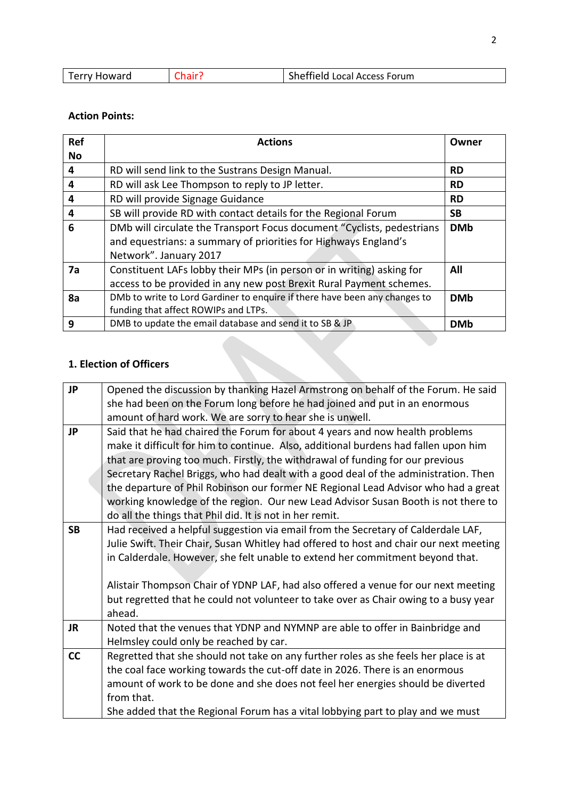| loward<br>erry | Sheffield Local Access Forum |
|----------------|------------------------------|

### **Action Points:**

| <b>Ref</b>     | <b>Actions</b>                                                             | Owner      |
|----------------|----------------------------------------------------------------------------|------------|
| <b>No</b>      |                                                                            |            |
| 4              | RD will send link to the Sustrans Design Manual.                           | <b>RD</b>  |
| $\overline{a}$ | RD will ask Lee Thompson to reply to JP letter.                            | <b>RD</b>  |
| 4              | RD will provide Signage Guidance                                           | <b>RD</b>  |
| $\overline{a}$ | SB will provide RD with contact details for the Regional Forum             | <b>SB</b>  |
| 6              | DMb will circulate the Transport Focus document "Cyclists, pedestrians     | <b>DMb</b> |
|                | and equestrians: a summary of priorities for Highways England's            |            |
|                | Network". January 2017                                                     |            |
| 7a             | Constituent LAFs lobby their MPs (in person or in writing) asking for      | All        |
|                | access to be provided in any new post Brexit Rural Payment schemes.        |            |
| 8a             | DMb to write to Lord Gardiner to enquire if there have been any changes to | <b>DMb</b> |
|                | funding that affect ROWIPs and LTPs.                                       |            |
| 9              | DMB to update the email database and send it to SB & JP                    | <b>DMb</b> |

# **1. Election of Officers**

| <b>JP</b> | Opened the discussion by thanking Hazel Armstrong on behalf of the Forum. He said      |
|-----------|----------------------------------------------------------------------------------------|
|           | she had been on the Forum long before he had joined and put in an enormous             |
|           | amount of hard work. We are sorry to hear she is unwell.                               |
| <b>JP</b> | Said that he had chaired the Forum for about 4 years and now health problems           |
|           | make it difficult for him to continue. Also, additional burdens had fallen upon him    |
|           | that are proving too much. Firstly, the withdrawal of funding for our previous         |
|           | Secretary Rachel Briggs, who had dealt with a good deal of the administration. Then    |
|           | the departure of Phil Robinson our former NE Regional Lead Advisor who had a great     |
|           | working knowledge of the region. Our new Lead Advisor Susan Booth is not there to      |
|           | do all the things that Phil did. It is not in her remit.                               |
| <b>SB</b> | Had received a helpful suggestion via email from the Secretary of Calderdale LAF,      |
|           | Julie Swift. Their Chair, Susan Whitley had offered to host and chair our next meeting |
|           | in Calderdale. However, she felt unable to extend her commitment beyond that.          |
|           |                                                                                        |
|           | Alistair Thompson Chair of YDNP LAF, had also offered a venue for our next meeting     |
|           | but regretted that he could not volunteer to take over as Chair owing to a busy year   |
|           | ahead.                                                                                 |
| <b>JR</b> | Noted that the venues that YDNP and NYMNP are able to offer in Bainbridge and          |
|           | Helmsley could only be reached by car.                                                 |
| cc        | Regretted that she should not take on any further roles as she feels her place is at   |
|           | the coal face working towards the cut-off date in 2026. There is an enormous           |
|           | amount of work to be done and she does not feel her energies should be diverted        |
|           | from that.                                                                             |
|           | She added that the Regional Forum has a vital lobbying part to play and we must        |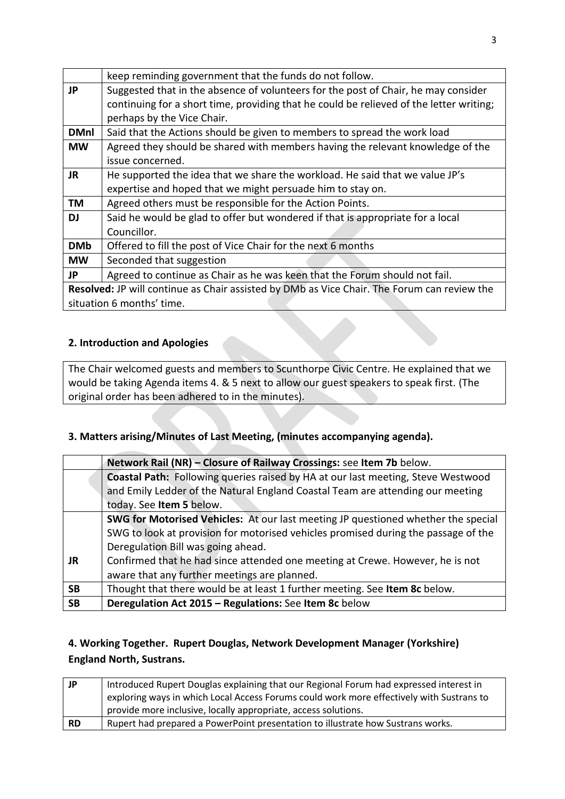| keep reminding government that the funds do not follow.                                     |  |
|---------------------------------------------------------------------------------------------|--|
| Suggested that in the absence of volunteers for the post of Chair, he may consider          |  |
| continuing for a short time, providing that he could be relieved of the letter writing;     |  |
| perhaps by the Vice Chair.                                                                  |  |
| Said that the Actions should be given to members to spread the work load                    |  |
| Agreed they should be shared with members having the relevant knowledge of the              |  |
| issue concerned.                                                                            |  |
| He supported the idea that we share the workload. He said that we value JP's                |  |
| expertise and hoped that we might persuade him to stay on.                                  |  |
| Agreed others must be responsible for the Action Points.                                    |  |
| Said he would be glad to offer but wondered if that is appropriate for a local              |  |
| Councillor.                                                                                 |  |
| Offered to fill the post of Vice Chair for the next 6 months                                |  |
| Seconded that suggestion                                                                    |  |
| Agreed to continue as Chair as he was keen that the Forum should not fail.                  |  |
| Resolved: JP will continue as Chair assisted by DMb as Vice Chair. The Forum can review the |  |
| situation 6 months' time.                                                                   |  |
|                                                                                             |  |

## **2. Introduction and Apologies**

The Chair welcomed guests and members to Scunthorpe Civic Centre. He explained that we would be taking Agenda items 4. & 5 next to allow our guest speakers to speak first. (The original order has been adhered to in the minutes).

# **3. Matters arising/Minutes of Last Meeting, (minutes accompanying agenda).**

|           | Network Rail (NR) - Closure of Railway Crossings: see Item 7b below.               |
|-----------|------------------------------------------------------------------------------------|
|           | Coastal Path: Following queries raised by HA at our last meeting, Steve Westwood   |
|           | and Emily Ledder of the Natural England Coastal Team are attending our meeting     |
|           | today. See Item 5 below.                                                           |
|           | SWG for Motorised Vehicles: At our last meeting JP questioned whether the special  |
|           | SWG to look at provision for motorised vehicles promised during the passage of the |
|           | Deregulation Bill was going ahead.                                                 |
| <b>JR</b> | Confirmed that he had since attended one meeting at Crewe. However, he is not      |
|           | aware that any further meetings are planned.                                       |
| <b>SB</b> | Thought that there would be at least 1 further meeting. See Item 8c below.         |
| <b>SB</b> | Deregulation Act 2015 - Regulations: See Item 8c below                             |

# **4. Working Together. Rupert Douglas, Network Development Manager (Yorkshire) England North, Sustrans.**

| JP        | Introduced Rupert Douglas explaining that our Regional Forum had expressed interest in   |
|-----------|------------------------------------------------------------------------------------------|
|           | exploring ways in which Local Access Forums could work more effectively with Sustrans to |
|           | provide more inclusive, locally appropriate, access solutions.                           |
| <b>RD</b> | Rupert had prepared a PowerPoint presentation to illustrate how Sustrans works.          |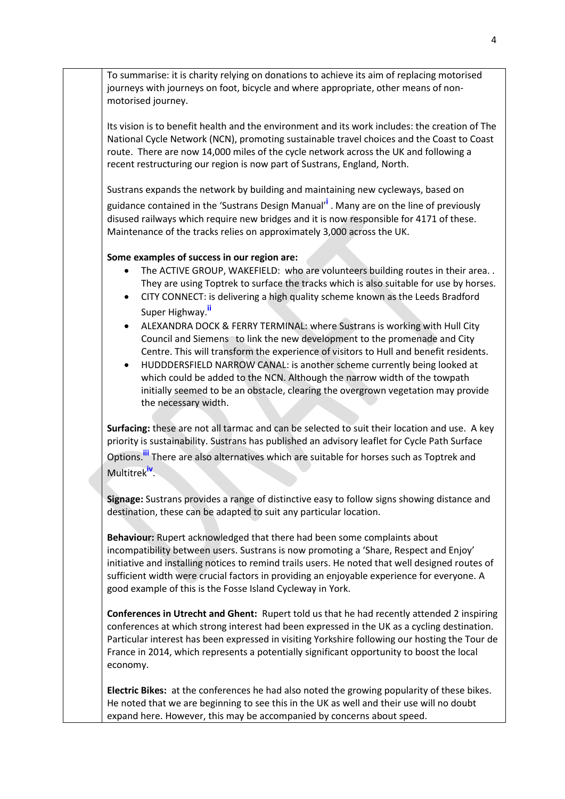To summarise: it is charity relying on donations to achieve its aim of replacing motorised journeys with journeys on foot, bicycle and where appropriate, other means of nonmotorised journey.

Its vision is to benefit health and the environment and its work includes: the creation of The National Cycle Network (NCN), promoting sustainable travel choices and the Coast to Coast route. There are now 14,000 miles of the cycle network across the UK and following a recent restructuring our region is now part of Sustrans, England, North.

Sustrans expands the network by building and maintaining new cycleways, based on

guidance contained in the 'Sustrans Design Manual'**<sup>i</sup>** . Many are on the line of previously disused railways which require new bridges and it is now responsible for 4171 of these. Maintenance of the tracks relies on approximately 3,000 across the UK.

#### **Some examples of success in our region are:**

- The ACTIVE GROUP, WAKEFIELD: who are volunteers building routes in their area.. They are using Toptrek to surface the tracks which is also suitable for use by horses.
- CITY CONNECT: is delivering a high quality scheme known as the Leeds Bradford Super Highway.**ii**
- ALEXANDRA DOCK & FERRY TERMINAL: where Sustrans is working with Hull City Council and Siemens to link the new development to the promenade and City Centre. This will transform the experience of visitors to Hull and benefit residents.
- HUDDDERSFIELD NARROW CANAL: is another scheme currently being looked at which could be added to the NCN. Although the narrow width of the towpath initially seemed to be an obstacle, clearing the overgrown vegetation may provide the necessary width.

**Surfacing:** these are not all tarmac and can be selected to suit their location and use. A key priority is sustainability. Sustrans has published an advisory leaflet for Cycle Path Surface Options.**iii** There are also alternatives which are suitable for horses such as Toptrek and Multitrek**iv** .

**Signage:** Sustrans provides a range of distinctive easy to follow signs showing distance and destination, these can be adapted to suit any particular location.

**Behaviour:** Rupert acknowledged that there had been some complaints about incompatibility between users. Sustrans is now promoting a 'Share, Respect and Enjoy' initiative and installing notices to remind trails users. He noted that well designed routes of sufficient width were crucial factors in providing an enjoyable experience for everyone. A good example of this is the Fosse Island Cycleway in York.

**Conferences in Utrecht and Ghent:** Rupert told us that he had recently attended 2 inspiring conferences at which strong interest had been expressed in the UK as a cycling destination. Particular interest has been expressed in visiting Yorkshire following our hosting the Tour de France in 2014, which represents a potentially significant opportunity to boost the local economy.

**Electric Bikes:** at the conferences he had also noted the growing popularity of these bikes. He noted that we are beginning to see this in the UK as well and their use will no doubt expand here. However, this may be accompanied by concerns about speed.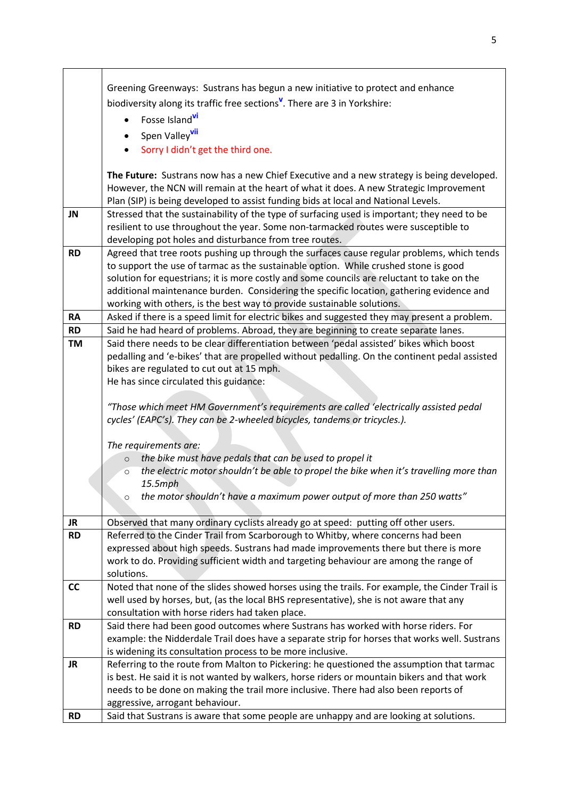|           | Greening Greenways: Sustrans has begun a new initiative to protect and enhance                                                                                                      |
|-----------|-------------------------------------------------------------------------------------------------------------------------------------------------------------------------------------|
|           | biodiversity along its traffic free sections <sup>V</sup> . There are 3 in Yorkshire:                                                                                               |
|           | Fosse Island <sup>vi</sup>                                                                                                                                                          |
|           |                                                                                                                                                                                     |
|           | Spen Valley <sup>vii</sup>                                                                                                                                                          |
|           | Sorry I didn't get the third one.                                                                                                                                                   |
|           | The Future: Sustrans now has a new Chief Executive and a new strategy is being developed.                                                                                           |
|           | However, the NCN will remain at the heart of what it does. A new Strategic Improvement                                                                                              |
|           | Plan (SIP) is being developed to assist funding bids at local and National Levels.                                                                                                  |
| JN        | Stressed that the sustainability of the type of surfacing used is important; they need to be                                                                                        |
|           | resilient to use throughout the year. Some non-tarmacked routes were susceptible to                                                                                                 |
|           | developing pot holes and disturbance from tree routes.                                                                                                                              |
| <b>RD</b> | Agreed that tree roots pushing up through the surfaces cause regular problems, which tends                                                                                          |
|           | to support the use of tarmac as the sustainable option. While crushed stone is good                                                                                                 |
|           | solution for equestrians; it is more costly and some councils are reluctant to take on the                                                                                          |
|           | additional maintenance burden. Considering the specific location, gathering evidence and                                                                                            |
| <b>RA</b> | working with others, is the best way to provide sustainable solutions.<br>Asked if there is a speed limit for electric bikes and suggested they may present a problem.              |
| <b>RD</b> | Said he had heard of problems. Abroad, they are beginning to create separate lanes.                                                                                                 |
| <b>TM</b> | Said there needs to be clear differentiation between 'pedal assisted' bikes which boost                                                                                             |
|           | pedalling and 'e-bikes' that are propelled without pedalling. On the continent pedal assisted                                                                                       |
|           | bikes are regulated to cut out at 15 mph.                                                                                                                                           |
|           | He has since circulated this guidance:                                                                                                                                              |
|           |                                                                                                                                                                                     |
|           | "Those which meet HM Government's requirements are called 'electrically assisted pedal                                                                                              |
|           | cycles' (EAPC's). They can be 2-wheeled bicycles, tandems or tricycles.).                                                                                                           |
|           |                                                                                                                                                                                     |
|           | The requirements are:                                                                                                                                                               |
|           | the bike must have pedals that can be used to propel it<br>$\circ$<br>the electric motor shouldn't be able to propel the bike when it's travelling more than                        |
|           | $\circ$<br>$15.5$ mph                                                                                                                                                               |
|           | the motor shouldn't have a maximum power output of more than 250 watts"                                                                                                             |
|           |                                                                                                                                                                                     |
| JR.       | Observed that many ordinary cyclists already go at speed: putting off other users.                                                                                                  |
| <b>RD</b> | Referred to the Cinder Trail from Scarborough to Whitby, where concerns had been                                                                                                    |
|           | expressed about high speeds. Sustrans had made improvements there but there is more                                                                                                 |
|           | work to do. Providing sufficient width and targeting behaviour are among the range of                                                                                               |
|           | solutions.                                                                                                                                                                          |
| cc        | Noted that none of the slides showed horses using the trails. For example, the Cinder Trail is                                                                                      |
|           | well used by horses, but, (as the local BHS representative), she is not aware that any                                                                                              |
|           | consultation with horse riders had taken place.                                                                                                                                     |
| <b>RD</b> | Said there had been good outcomes where Sustrans has worked with horse riders. For<br>example: the Nidderdale Trail does have a separate strip for horses that works well. Sustrans |
|           | is widening its consultation process to be more inclusive.                                                                                                                          |
| <b>JR</b> | Referring to the route from Malton to Pickering: he questioned the assumption that tarmac                                                                                           |
|           | is best. He said it is not wanted by walkers, horse riders or mountain bikers and that work                                                                                         |
|           | needs to be done on making the trail more inclusive. There had also been reports of                                                                                                 |
|           | aggressive, arrogant behaviour.                                                                                                                                                     |
| <b>RD</b> | Said that Sustrans is aware that some people are unhappy and are looking at solutions.                                                                                              |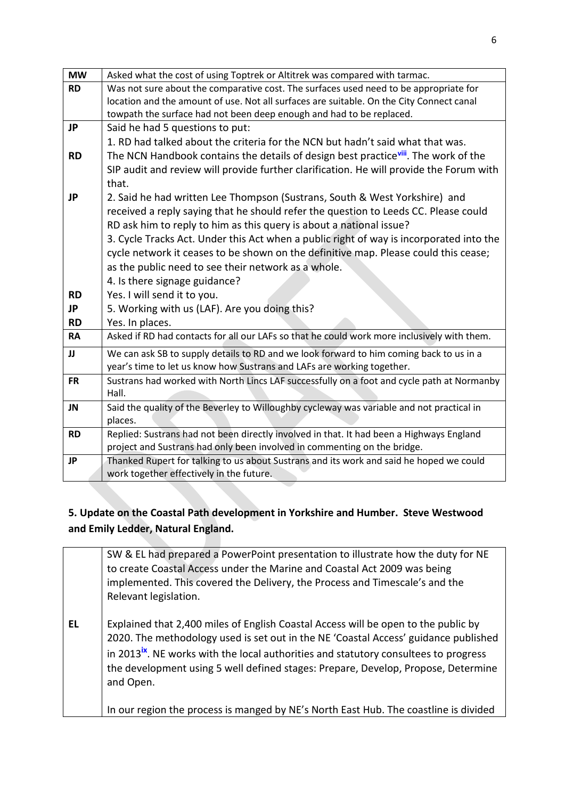| <b>MW</b> | Asked what the cost of using Toptrek or Altitrek was compared with tarmac.                      |
|-----------|-------------------------------------------------------------------------------------------------|
| <b>RD</b> | Was not sure about the comparative cost. The surfaces used need to be appropriate for           |
|           | location and the amount of use. Not all surfaces are suitable. On the City Connect canal        |
|           | towpath the surface had not been deep enough and had to be replaced.                            |
| <b>JP</b> | Said he had 5 questions to put:                                                                 |
|           | 1. RD had talked about the criteria for the NCN but hadn't said what that was.                  |
| <b>RD</b> | The NCN Handbook contains the details of design best practice <sup>viii</sup> . The work of the |
|           | SIP audit and review will provide further clarification. He will provide the Forum with         |
|           | that.                                                                                           |
| <b>JP</b> | 2. Said he had written Lee Thompson (Sustrans, South & West Yorkshire) and                      |
|           | received a reply saying that he should refer the question to Leeds CC. Please could             |
|           | RD ask him to reply to him as this query is about a national issue?                             |
|           | 3. Cycle Tracks Act. Under this Act when a public right of way is incorporated into the         |
|           | cycle network it ceases to be shown on the definitive map. Please could this cease;             |
|           | as the public need to see their network as a whole.                                             |
|           | 4. Is there signage guidance?                                                                   |
| <b>RD</b> | Yes. I will send it to you.                                                                     |
| <b>JP</b> | 5. Working with us (LAF). Are you doing this?                                                   |
| <b>RD</b> | Yes. In places.                                                                                 |
| <b>RA</b> | Asked if RD had contacts for all our LAFs so that he could work more inclusively with them.     |
| JJ        | We can ask SB to supply details to RD and we look forward to him coming back to us in a         |
|           | year's time to let us know how Sustrans and LAFs are working together.                          |
| <b>FR</b> | Sustrans had worked with North Lincs LAF successfully on a foot and cycle path at Normanby      |
|           | Hall.                                                                                           |
| <b>JN</b> | Said the quality of the Beverley to Willoughby cycleway was variable and not practical in       |
|           | places.                                                                                         |
| <b>RD</b> | Replied: Sustrans had not been directly involved in that. It had been a Highways England        |
|           | project and Sustrans had only been involved in commenting on the bridge.                        |
| <b>JP</b> | Thanked Rupert for talking to us about Sustrans and its work and said he hoped we could         |
|           | work together effectively in the future.                                                        |

# **5. Update on the Coastal Path development in Yorkshire and Humber. Steve Westwood and Emily Ledder, Natural England.**

|           | SW & EL had prepared a PowerPoint presentation to illustrate how the duty for NE<br>to create Coastal Access under the Marine and Coastal Act 2009 was being<br>implemented. This covered the Delivery, the Process and Timescale's and the<br>Relevant legislation.                                                                                                            |
|-----------|---------------------------------------------------------------------------------------------------------------------------------------------------------------------------------------------------------------------------------------------------------------------------------------------------------------------------------------------------------------------------------|
| <b>EL</b> | Explained that 2,400 miles of English Coastal Access will be open to the public by<br>2020. The methodology used is set out in the NE 'Coastal Access' guidance published<br>in 2013 <sup>ix</sup> . NE works with the local authorities and statutory consultees to progress<br>the development using 5 well defined stages: Prepare, Develop, Propose, Determine<br>and Open. |
|           | In our region the process is manged by NE's North East Hub. The coastline is divided                                                                                                                                                                                                                                                                                            |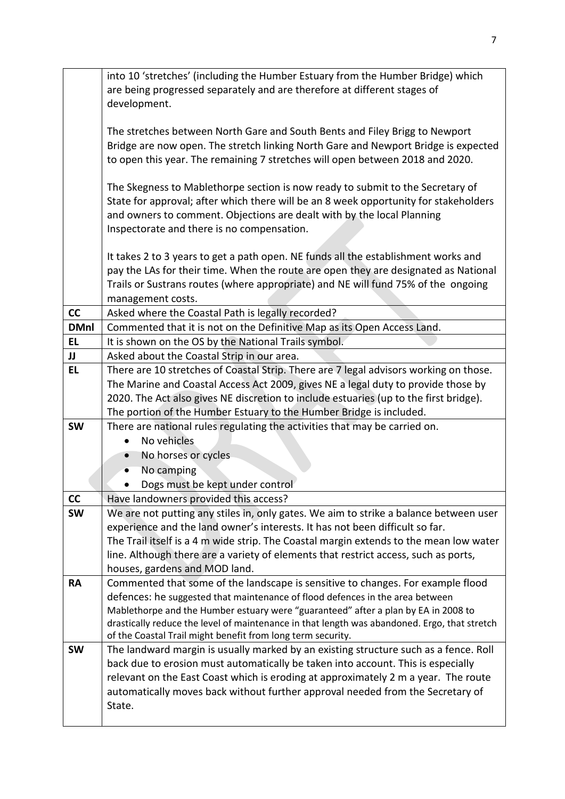|             | into 10 'stretches' (including the Humber Estuary from the Humber Bridge) which                                                |
|-------------|--------------------------------------------------------------------------------------------------------------------------------|
|             | are being progressed separately and are therefore at different stages of                                                       |
|             | development.                                                                                                                   |
|             |                                                                                                                                |
|             | The stretches between North Gare and South Bents and Filey Brigg to Newport                                                    |
|             | Bridge are now open. The stretch linking North Gare and Newport Bridge is expected                                             |
|             | to open this year. The remaining 7 stretches will open between 2018 and 2020.                                                  |
|             | The Skegness to Mablethorpe section is now ready to submit to the Secretary of                                                 |
|             | State for approval; after which there will be an 8 week opportunity for stakeholders                                           |
|             | and owners to comment. Objections are dealt with by the local Planning                                                         |
|             | Inspectorate and there is no compensation.                                                                                     |
|             | It takes 2 to 3 years to get a path open. NE funds all the establishment works and                                             |
|             | pay the LAs for their time. When the route are open they are designated as National                                            |
|             | Trails or Sustrans routes (where appropriate) and NE will fund 75% of the ongoing                                              |
|             | management costs.                                                                                                              |
| cc          | Asked where the Coastal Path is legally recorded?                                                                              |
| <b>DMnl</b> | Commented that it is not on the Definitive Map as its Open Access Land.                                                        |
| <b>EL</b>   | It is shown on the OS by the National Trails symbol.                                                                           |
| JJ          | Asked about the Coastal Strip in our area.                                                                                     |
| EL          | There are 10 stretches of Coastal Strip. There are 7 legal advisors working on those.                                          |
|             | The Marine and Coastal Access Act 2009, gives NE a legal duty to provide those by                                              |
|             | 2020. The Act also gives NE discretion to include estuaries (up to the first bridge).                                          |
|             | The portion of the Humber Estuary to the Humber Bridge is included.                                                            |
| <b>SW</b>   | There are national rules regulating the activities that may be carried on.<br>No vehicles                                      |
|             | No horses or cycles                                                                                                            |
|             | No camping                                                                                                                     |
|             |                                                                                                                                |
| cc          | Dogs must be kept under control                                                                                                |
| <b>SW</b>   | Have landowners provided this access?<br>We are not putting any stiles in, only gates. We aim to strike a balance between user |
|             | experience and the land owner's interests. It has not been difficult so far.                                                   |
|             | The Trail itself is a 4 m wide strip. The Coastal margin extends to the mean low water                                         |
|             | line. Although there are a variety of elements that restrict access, such as ports,                                            |
|             | houses, gardens and MOD land.                                                                                                  |
| <b>RA</b>   | Commented that some of the landscape is sensitive to changes. For example flood                                                |
|             | defences: he suggested that maintenance of flood defences in the area between                                                  |
|             | Mablethorpe and the Humber estuary were "guaranteed" after a plan by EA in 2008 to                                             |
|             | drastically reduce the level of maintenance in that length was abandoned. Ergo, that stretch                                   |
|             | of the Coastal Trail might benefit from long term security.                                                                    |
| <b>SW</b>   | The landward margin is usually marked by an existing structure such as a fence. Roll                                           |
|             | back due to erosion must automatically be taken into account. This is especially                                               |
|             | relevant on the East Coast which is eroding at approximately 2 m a year. The route                                             |
|             | automatically moves back without further approval needed from the Secretary of                                                 |
|             | State.                                                                                                                         |
|             |                                                                                                                                |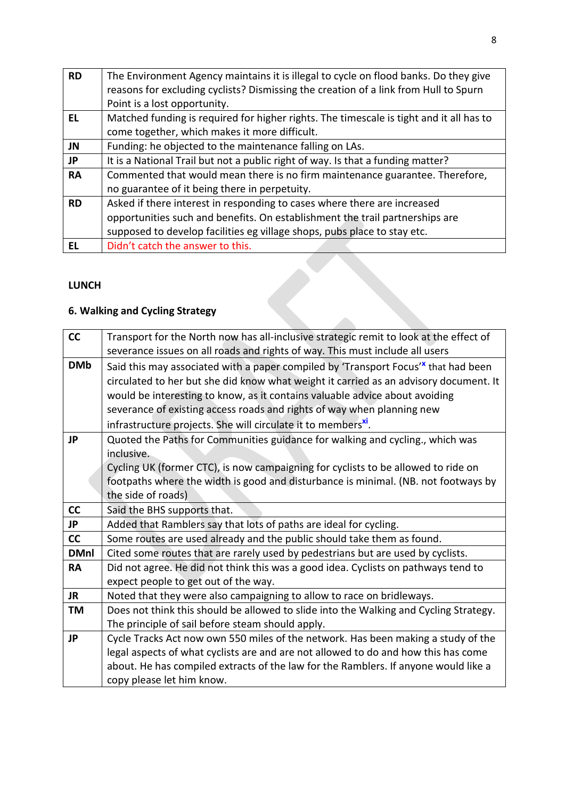| <b>RD</b> | The Environment Agency maintains it is illegal to cycle on flood banks. Do they give    |
|-----------|-----------------------------------------------------------------------------------------|
|           | reasons for excluding cyclists? Dismissing the creation of a link from Hull to Spurn    |
|           | Point is a lost opportunity.                                                            |
| EL        | Matched funding is required for higher rights. The timescale is tight and it all has to |
|           | come together, which makes it more difficult.                                           |
| JN        | Funding: he objected to the maintenance falling on LAs.                                 |
| JP        | It is a National Trail but not a public right of way. Is that a funding matter?         |
| <b>RA</b> | Commented that would mean there is no firm maintenance guarantee. Therefore,            |
|           | no guarantee of it being there in perpetuity.                                           |
| <b>RD</b> | Asked if there interest in responding to cases where there are increased                |
|           | opportunities such and benefits. On establishment the trail partnerships are            |
|           | supposed to develop facilities eg village shops, pubs place to stay etc.                |
| FL        | Didn't catch the answer to this.                                                        |

E.

# **LUNCH**

# **6. Walking and Cycling Strategy**

| cc          | Transport for the North now has all-inclusive strategic remit to look at the effect of                                                                                                  |
|-------------|-----------------------------------------------------------------------------------------------------------------------------------------------------------------------------------------|
| <b>DMb</b>  | severance issues on all roads and rights of way. This must include all users                                                                                                            |
|             | Said this may associated with a paper compiled by 'Transport Focus' <sup>x</sup> that had been<br>circulated to her but she did know what weight it carried as an advisory document. It |
|             | would be interesting to know, as it contains valuable advice about avoiding                                                                                                             |
|             | severance of existing access roads and rights of way when planning new                                                                                                                  |
|             | infrastructure projects. She will circulate it to members <sup>xi</sup> .                                                                                                               |
| <b>JP</b>   | Quoted the Paths for Communities guidance for walking and cycling., which was                                                                                                           |
|             | inclusive.                                                                                                                                                                              |
|             | Cycling UK (former CTC), is now campaigning for cyclists to be allowed to ride on                                                                                                       |
|             | footpaths where the width is good and disturbance is minimal. (NB. not footways by                                                                                                      |
|             | the side of roads)                                                                                                                                                                      |
| cc          | Said the BHS supports that.                                                                                                                                                             |
| <b>JP</b>   | Added that Ramblers say that lots of paths are ideal for cycling.                                                                                                                       |
| cc          | Some routes are used already and the public should take them as found.                                                                                                                  |
| <b>DMnl</b> | Cited some routes that are rarely used by pedestrians but are used by cyclists.                                                                                                         |
| <b>RA</b>   | Did not agree. He did not think this was a good idea. Cyclists on pathways tend to                                                                                                      |
|             | expect people to get out of the way.                                                                                                                                                    |
| <b>JR</b>   | Noted that they were also campaigning to allow to race on bridleways.                                                                                                                   |
| <b>TM</b>   | Does not think this should be allowed to slide into the Walking and Cycling Strategy.                                                                                                   |
|             | The principle of sail before steam should apply.                                                                                                                                        |
| <b>JP</b>   | Cycle Tracks Act now own 550 miles of the network. Has been making a study of the                                                                                                       |
|             | legal aspects of what cyclists are and are not allowed to do and how this has come                                                                                                      |
|             | about. He has compiled extracts of the law for the Ramblers. If anyone would like a                                                                                                     |
|             | copy please let him know.                                                                                                                                                               |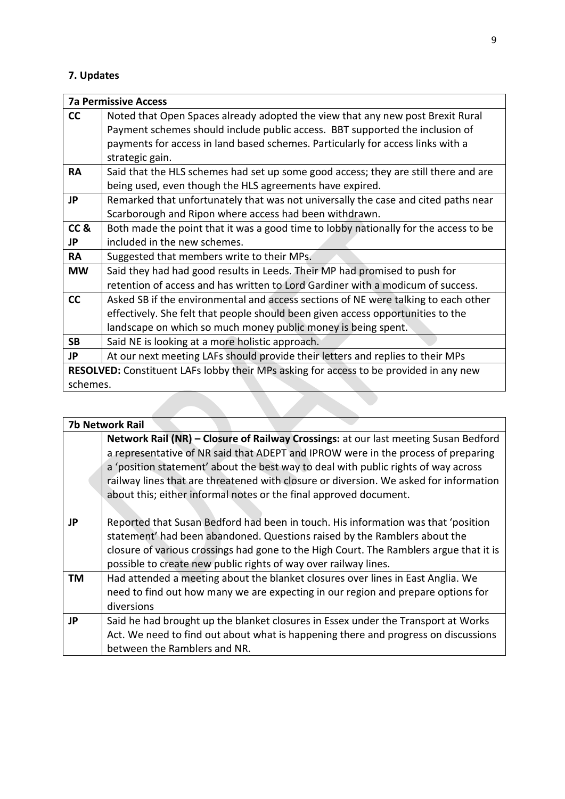# **7. Updates**

|                     | <b>7a Permissive Access</b>                                                                   |  |
|---------------------|-----------------------------------------------------------------------------------------------|--|
| cc                  | Noted that Open Spaces already adopted the view that any new post Brexit Rural                |  |
|                     | Payment schemes should include public access. BBT supported the inclusion of                  |  |
|                     | payments for access in land based schemes. Particularly for access links with a               |  |
|                     | strategic gain.                                                                               |  |
| <b>RA</b>           | Said that the HLS schemes had set up some good access; they are still there and are           |  |
|                     | being used, even though the HLS agreements have expired.                                      |  |
| JP                  | Remarked that unfortunately that was not universally the case and cited paths near            |  |
|                     | Scarborough and Ripon where access had been withdrawn.                                        |  |
| CC <sub>&amp;</sub> | Both made the point that it was a good time to lobby nationally for the access to be          |  |
| JP                  | included in the new schemes.                                                                  |  |
| <b>RA</b>           | Suggested that members write to their MPs.                                                    |  |
| <b>MW</b>           | Said they had had good results in Leeds. Their MP had promised to push for                    |  |
|                     | retention of access and has written to Lord Gardiner with a modicum of success.               |  |
| cc                  | Asked SB if the environmental and access sections of NE were talking to each other            |  |
|                     | effectively. She felt that people should been given access opportunities to the               |  |
|                     | landscape on which so much money public money is being spent.                                 |  |
| <b>SB</b>           | Said NE is looking at a more holistic approach.                                               |  |
| <b>JP</b>           | At our next meeting LAFs should provide their letters and replies to their MPs                |  |
|                     | <b>RESOLVED:</b> Constituent LAFs lobby their MPs asking for access to be provided in any new |  |
| schemes.            |                                                                                               |  |

|           | <b>7b Network Rail</b>                                                                 |  |
|-----------|----------------------------------------------------------------------------------------|--|
|           | Network Rail (NR) - Closure of Railway Crossings: at our last meeting Susan Bedford    |  |
|           | a representative of NR said that ADEPT and IPROW were in the process of preparing      |  |
|           | a 'position statement' about the best way to deal with public rights of way across     |  |
|           | railway lines that are threatened with closure or diversion. We asked for information  |  |
|           | about this; either informal notes or the final approved document.                      |  |
|           |                                                                                        |  |
| <b>JP</b> | Reported that Susan Bedford had been in touch. His information was that 'position      |  |
|           | statement' had been abandoned. Questions raised by the Ramblers about the              |  |
|           | closure of various crossings had gone to the High Court. The Ramblers argue that it is |  |
|           | possible to create new public rights of way over railway lines.                        |  |
| TM        | Had attended a meeting about the blanket closures over lines in East Anglia. We        |  |
|           | need to find out how many we are expecting in our region and prepare options for       |  |
|           | diversions                                                                             |  |
| JP        | Said he had brought up the blanket closures in Essex under the Transport at Works      |  |
|           | Act. We need to find out about what is happening there and progress on discussions     |  |
|           | between the Ramblers and NR.                                                           |  |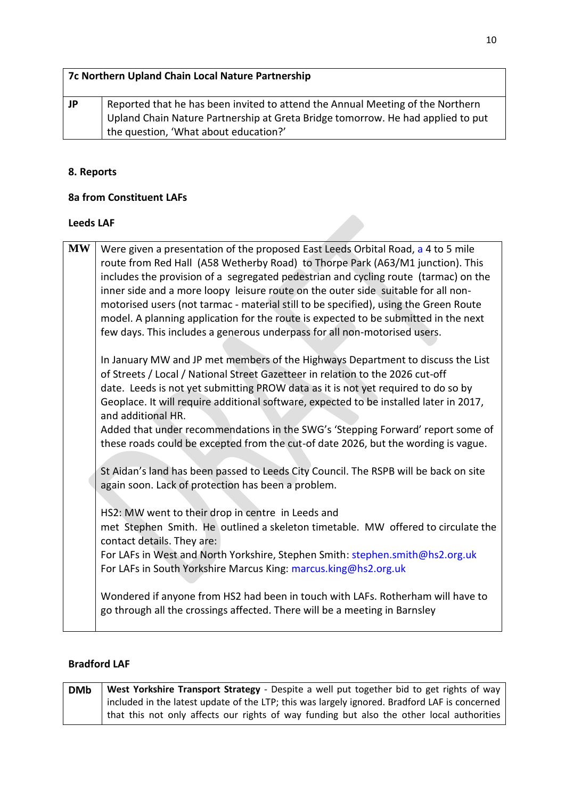|    | 7c Northern Upland Chain Local Nature Partnership                                                                                                                 |
|----|-------------------------------------------------------------------------------------------------------------------------------------------------------------------|
| JP | Reported that he has been invited to attend the Annual Meeting of the Northern<br>Upland Chain Nature Partnership at Greta Bridge tomorrow. He had applied to put |
|    | the question, 'What about education?'                                                                                                                             |

# **8. Reports**

# **8a from Constituent LAFs**

### **Leeds LAF**

| <b>MW</b> | Were given a presentation of the proposed East Leeds Orbital Road, a 4 to 5 mile<br>route from Red Hall (A58 Wetherby Road) to Thorpe Park (A63/M1 junction). This<br>includes the provision of a segregated pedestrian and cycling route (tarmac) on the<br>inner side and a more loopy leisure route on the outer side suitable for all non-<br>motorised users (not tarmac - material still to be specified), using the Green Route<br>model. A planning application for the route is expected to be submitted in the next<br>few days. This includes a generous underpass for all non-motorised users.                             |
|-----------|----------------------------------------------------------------------------------------------------------------------------------------------------------------------------------------------------------------------------------------------------------------------------------------------------------------------------------------------------------------------------------------------------------------------------------------------------------------------------------------------------------------------------------------------------------------------------------------------------------------------------------------|
|           | In January MW and JP met members of the Highways Department to discuss the List<br>of Streets / Local / National Street Gazetteer in relation to the 2026 cut-off<br>date. Leeds is not yet submitting PROW data as it is not yet required to do so by<br>Geoplace. It will require additional software, expected to be installed later in 2017,<br>and additional HR.<br>Added that under recommendations in the SWG's 'Stepping Forward' report some of<br>these roads could be excepted from the cut-of date 2026, but the wording is vague.                                                                                        |
|           | St Aidan's land has been passed to Leeds City Council. The RSPB will be back on site<br>again soon. Lack of protection has been a problem.<br>HS2: MW went to their drop in centre in Leeds and<br>met Stephen Smith. He outlined a skeleton timetable. MW offered to circulate the<br>contact details. They are:<br>For LAFs in West and North Yorkshire, Stephen Smith: stephen.smith@hs2.org.uk<br>For LAFs in South Yorkshire Marcus King: marcus.king@hs2.org.uk<br>Wondered if anyone from HS2 had been in touch with LAFs. Rotherham will have to<br>go through all the crossings affected. There will be a meeting in Barnsley |
|           |                                                                                                                                                                                                                                                                                                                                                                                                                                                                                                                                                                                                                                        |

## **Bradford LAF**

| <b>DMb</b> | West Yorkshire Transport Strategy - Despite a well put together bid to get rights of way      |
|------------|-----------------------------------------------------------------------------------------------|
|            | included in the latest update of the LTP; this was largely ignored. Bradford LAF is concerned |
|            | that this not only affects our rights of way funding but also the other local authorities     |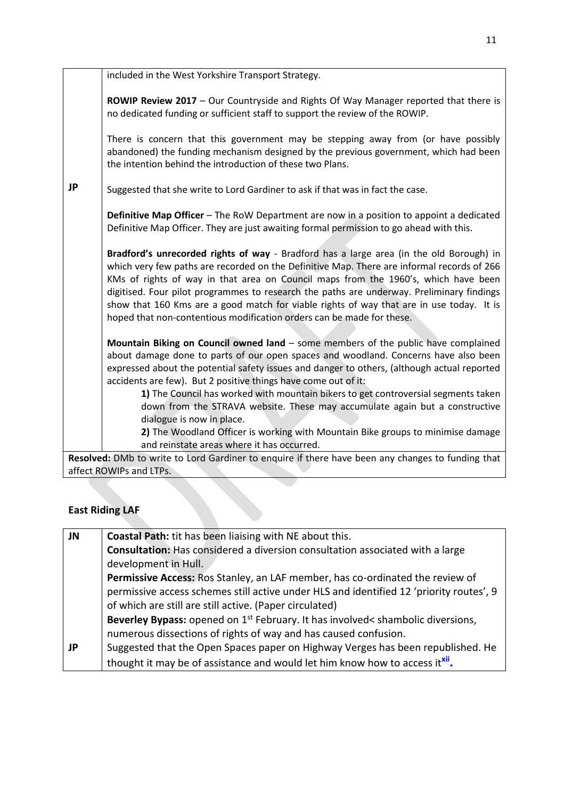|    | included in the West Yorkshire Transport Strategy.                                                                                                                                                                                                                                                                                                                                                                                                                                                                                            |
|----|-----------------------------------------------------------------------------------------------------------------------------------------------------------------------------------------------------------------------------------------------------------------------------------------------------------------------------------------------------------------------------------------------------------------------------------------------------------------------------------------------------------------------------------------------|
|    | ROWIP Review 2017 - Our Countryside and Rights Of Way Manager reported that there is<br>no dedicated funding or sufficient staff to support the review of the ROWIP.                                                                                                                                                                                                                                                                                                                                                                          |
|    | There is concern that this government may be stepping away from (or have possibly<br>abandoned) the funding mechanism designed by the previous government, which had been<br>the intention behind the introduction of these two Plans.                                                                                                                                                                                                                                                                                                        |
| JP | Suggested that she write to Lord Gardiner to ask if that was in fact the case.                                                                                                                                                                                                                                                                                                                                                                                                                                                                |
|    | <b>Definitive Map Officer</b> – The RoW Department are now in a position to appoint a dedicated<br>Definitive Map Officer. They are just awaiting formal permission to go ahead with this.                                                                                                                                                                                                                                                                                                                                                    |
|    | Bradford's unrecorded rights of way - Bradford has a large area (in the old Borough) in<br>which very few paths are recorded on the Definitive Map. There are informal records of 266<br>KMs of rights of way in that area on Council maps from the 1960's, which have been<br>digitised. Four pilot programmes to research the paths are underway. Preliminary findings<br>show that 160 Kms are a good match for viable rights of way that are in use today. It is<br>hoped that non-contentious modification orders can be made for these. |
|    | Mountain Biking on Council owned land - some members of the public have complained<br>about damage done to parts of our open spaces and woodland. Concerns have also been<br>expressed about the potential safety issues and danger to others, (although actual reported<br>accidents are few). But 2 positive things have come out of it:                                                                                                                                                                                                    |
|    | 1) The Council has worked with mountain bikers to get controversial segments taken                                                                                                                                                                                                                                                                                                                                                                                                                                                            |
|    | down from the STRAVA website. These may accumulate again but a constructive                                                                                                                                                                                                                                                                                                                                                                                                                                                                   |
|    | dialogue is now in place.                                                                                                                                                                                                                                                                                                                                                                                                                                                                                                                     |
|    | 2) The Woodland Officer is working with Mountain Bike groups to minimise damage                                                                                                                                                                                                                                                                                                                                                                                                                                                               |
|    | and reinstate areas where it has occurred.                                                                                                                                                                                                                                                                                                                                                                                                                                                                                                    |
|    | Resolved: DMb to write to Lord Gardiner to enquire if there have been any changes to funding that                                                                                                                                                                                                                                                                                                                                                                                                                                             |

### affect ROWIPs and LTPs.

# **East Riding LAF**

| JN        | <b>Coastal Path:</b> tit has been liaising with NE about this.                              |
|-----------|---------------------------------------------------------------------------------------------|
|           | Consultation: Has considered a diversion consultation associated with a large               |
|           | development in Hull.                                                                        |
|           | Permissive Access: Ros Stanley, an LAF member, has co-ordinated the review of               |
|           | permissive access schemes still active under HLS and identified 12 'priority routes', 9     |
|           | of which are still are still active. (Paper circulated)                                     |
|           | Beverley Bypass: opened on 1 <sup>st</sup> February. It has involved< shambolic diversions, |
|           | numerous dissections of rights of way and has caused confusion.                             |
| <b>JP</b> | Suggested that the Open Spaces paper on Highway Verges has been republished. He             |
|           | thought it may be of assistance and would let him know how to access it <sup>xii</sup> .    |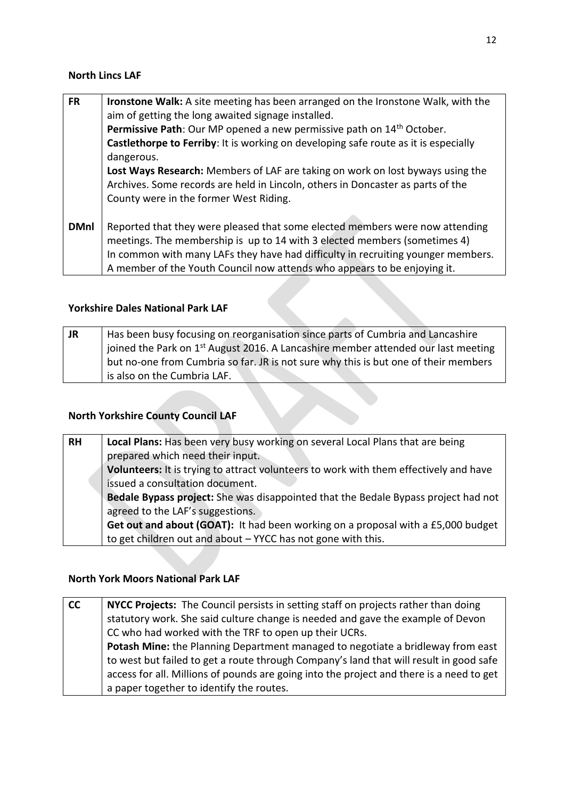#### **North Lincs LAF**

| <b>FR</b>   | Ironstone Walk: A site meeting has been arranged on the Ironstone Walk, with the<br>aim of getting the long awaited signage installed. |
|-------------|----------------------------------------------------------------------------------------------------------------------------------------|
|             | Permissive Path: Our MP opened a new permissive path on 14 <sup>th</sup> October.                                                      |
|             | Castlethorpe to Ferriby: It is working on developing safe route as it is especially                                                    |
|             | dangerous.                                                                                                                             |
|             | Lost Ways Research: Members of LAF are taking on work on lost byways using the                                                         |
|             | Archives. Some records are held in Lincoln, others in Doncaster as parts of the                                                        |
|             | County were in the former West Riding.                                                                                                 |
|             |                                                                                                                                        |
| <b>DMnl</b> | Reported that they were pleased that some elected members were now attending                                                           |
|             | meetings. The membership is up to 14 with 3 elected members (sometimes 4)                                                              |
|             | In common with many LAFs they have had difficulty in recruiting younger members.                                                       |
|             | A member of the Youth Council now attends who appears to be enjoying it.                                                               |

## **Yorkshire Dales National Park LAF**

| <b>JR</b> | Has been busy focusing on reorganisation since parts of Cumbria and Lancashire                |
|-----------|-----------------------------------------------------------------------------------------------|
|           | joined the Park on 1 <sup>st</sup> August 2016. A Lancashire member attended our last meeting |
|           | but no-one from Cumbria so far. JR is not sure why this is but one of their members           |
|           | is also on the Cumbria LAF.                                                                   |

# **North Yorkshire County Council LAF**

| <b>RH</b> | Local Plans: Has been very busy working on several Local Plans that are being             |
|-----------|-------------------------------------------------------------------------------------------|
|           | prepared which need their input.                                                          |
|           | Volunteers: It is trying to attract volunteers to work with them effectively and have     |
|           | issued a consultation document.                                                           |
|           | <b>Bedale Bypass project:</b> She was disappointed that the Bedale Bypass project had not |
|           | agreed to the LAF's suggestions.                                                          |
|           | Get out and about (GOAT): It had been working on a proposal with a £5,000 budget          |
|           | to get children out and about - YYCC has not gone with this.                              |

#### **North York Moors National Park LAF**

| cc | NYCC Projects: The Council persists in setting staff on projects rather than doing       |
|----|------------------------------------------------------------------------------------------|
|    | statutory work. She said culture change is needed and gave the example of Devon          |
|    | CC who had worked with the TRF to open up their UCRs.                                    |
|    | Potash Mine: the Planning Department managed to negotiate a bridleway from east          |
|    | to west but failed to get a route through Company's land that will result in good safe   |
|    | access for all. Millions of pounds are going into the project and there is a need to get |
|    | a paper together to identify the routes.                                                 |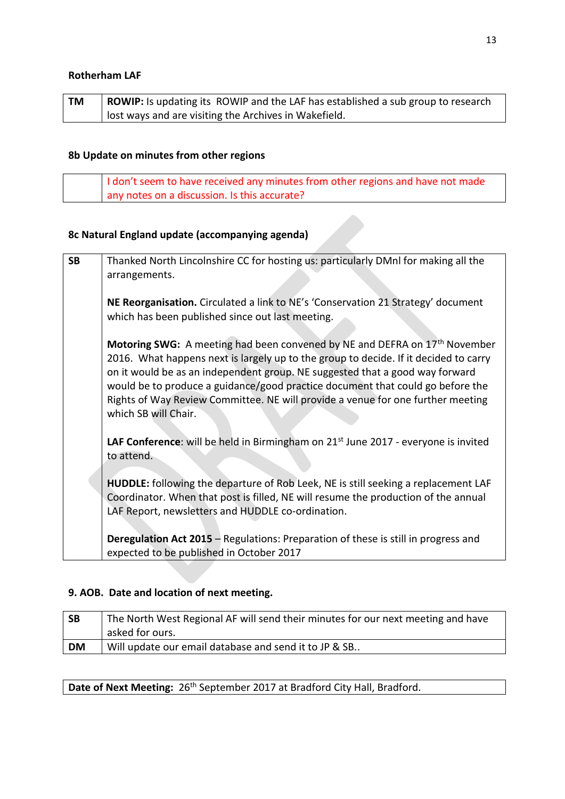#### **Rotherham LAF**

| TM | <b>ROWIP:</b> Is updating its ROWIP and the LAF has established a sub group to research |
|----|-----------------------------------------------------------------------------------------|
|    | I lost ways and are visiting the Archives in Wakefield.                                 |

# **8b Update on minutes from other regions**

|  | I don't seem to have received any minutes from other regions and have not made |
|--|--------------------------------------------------------------------------------|
|  | any notes on a discussion. Is this accurate?                                   |

# **8c Natural England update (accompanying agenda)**

| <b>SB</b> | Thanked North Lincolnshire CC for hosting us: particularly DMnl for making all the             |
|-----------|------------------------------------------------------------------------------------------------|
|           | arrangements.                                                                                  |
|           |                                                                                                |
|           | NE Reorganisation. Circulated a link to NE's 'Conservation 21 Strategy' document               |
|           | which has been published since out last meeting.                                               |
|           |                                                                                                |
|           | Motoring SWG: A meeting had been convened by NE and DEFRA on 17 <sup>th</sup> November         |
|           | 2016. What happens next is largely up to the group to decide. If it decided to carry           |
|           | on it would be as an independent group. NE suggested that a good way forward                   |
|           | would be to produce a guidance/good practice document that could go before the                 |
|           | Rights of Way Review Committee. NE will provide a venue for one further meeting                |
|           | which SB will Chair.                                                                           |
|           | LAF Conference: will be held in Birmingham on 21 <sup>st</sup> June 2017 - everyone is invited |
|           | to attend.                                                                                     |
|           |                                                                                                |
|           | HUDDLE: following the departure of Rob Leek, NE is still seeking a replacement LAF             |
|           | Coordinator. When that post is filled, NE will resume the production of the annual             |
|           | LAF Report, newsletters and HUDDLE co-ordination.                                              |
|           |                                                                                                |
|           | <b>Deregulation Act 2015</b> - Regulations: Preparation of these is still in progress and      |
|           | expected to be published in October 2017                                                       |

# **9. AOB. Date and location of next meeting.**

| <b>SB</b> | The North West Regional AF will send their minutes for our next meeting and have |
|-----------|----------------------------------------------------------------------------------|
|           | asked for ours.                                                                  |
| <b>DM</b> | Will update our email database and send it to JP & SB                            |

Date of Next Meeting: 26<sup>th</sup> September 2017 at Bradford City Hall, Bradford.